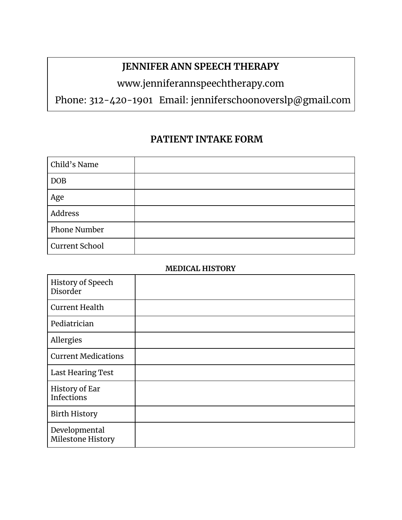## **JENNIFER ANN SPEECH THERAPY**

# www.jenniferannspeechtherapy.com

Phone: 312-420-1901 Email: jenniferschoonoverslp@gmail.com

### **PATIENT INTAKE FORM**

| Child's Name          |  |
|-----------------------|--|
| <b>DOB</b>            |  |
| Age                   |  |
| Address               |  |
| <b>Phone Number</b>   |  |
| <b>Current School</b> |  |

### **MEDICAL HISTORY**

| History of Speech<br>Disorder       |  |
|-------------------------------------|--|
| <b>Current Health</b>               |  |
| Pediatrician                        |  |
| Allergies                           |  |
| <b>Current Medications</b>          |  |
| <b>Last Hearing Test</b>            |  |
| History of Ear<br><b>Infections</b> |  |
| <b>Birth History</b>                |  |
| Developmental<br>Milestone History  |  |